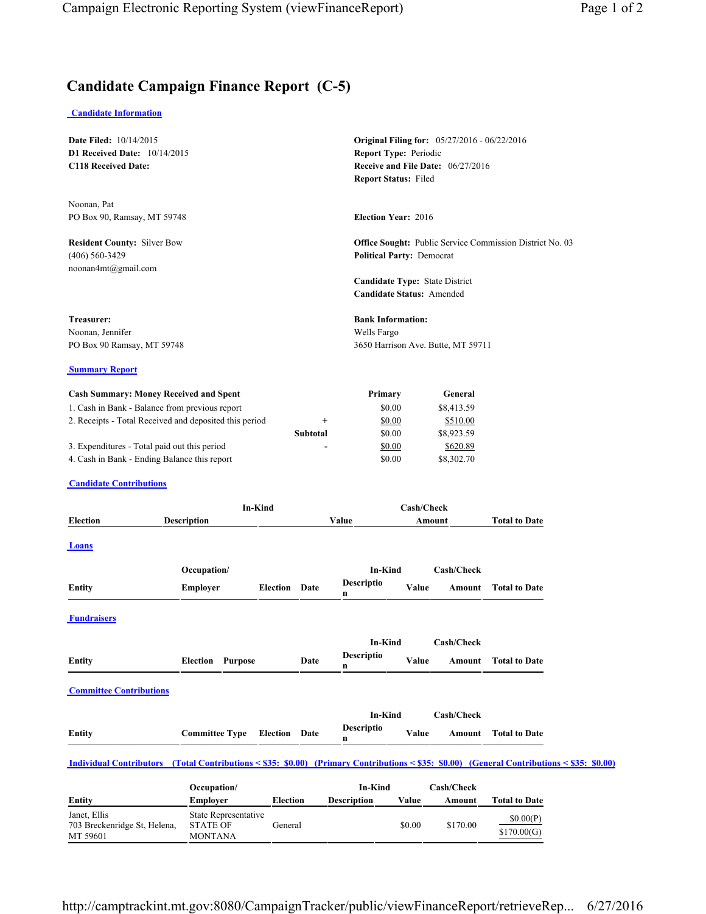## **Candidate Campaign Finance Report (C-5)**

## **Candidate Information**

703 Breckenridge St, Helena,

STATE OF MONTANA

MT 59601

| <b>Date Filed: 10/14/2015</b><br>D1 Received Date: 10/14/2015<br><b>C118 Received Date:</b>                                                                                                                                                               |                                |                      |                           |                                                             | <b>Original Filing for:</b> 05/27/2016 - 06/22/2016<br><b>Report Type: Periodic</b><br><b>Receive and File Date: 06/27/2016</b><br><b>Report Status: Filed</b> |                                                                           |                      |  |  |
|-----------------------------------------------------------------------------------------------------------------------------------------------------------------------------------------------------------------------------------------------------------|--------------------------------|----------------------|---------------------------|-------------------------------------------------------------|----------------------------------------------------------------------------------------------------------------------------------------------------------------|---------------------------------------------------------------------------|----------------------|--|--|
| Noonan, Pat<br>PO Box 90, Ramsay, MT 59748                                                                                                                                                                                                                |                                |                      |                           | <b>Election Year: 2016</b>                                  |                                                                                                                                                                |                                                                           |                      |  |  |
| <b>Resident County: Silver Bow</b><br>$(406) 560 - 3429$<br>noonan4mt@gmail.com                                                                                                                                                                           |                                |                      |                           |                                                             | <b>Office Sought:</b> Public Service Commission District No. 03<br><b>Political Party: Democrat</b>                                                            |                                                                           |                      |  |  |
|                                                                                                                                                                                                                                                           |                                |                      |                           | Candidate Type: State District<br>Candidate Status: Amended |                                                                                                                                                                |                                                                           |                      |  |  |
| Treasurer:<br>Noonan, Jennifer<br>PO Box 90 Ramsay, MT 59748                                                                                                                                                                                              |                                |                      |                           | Wells Fargo                                                 | <b>Bank Information:</b><br>3650 Harrison Ave. Butte, MT 59711                                                                                                 |                                                                           |                      |  |  |
| <b>Summary Report</b>                                                                                                                                                                                                                                     |                                |                      |                           |                                                             |                                                                                                                                                                |                                                                           |                      |  |  |
| <b>Cash Summary: Money Received and Spent</b><br>1. Cash in Bank - Balance from previous report<br>2. Receipts - Total Received and deposited this period<br>3. Expenditures - Total paid out this period<br>4. Cash in Bank - Ending Balance this report |                                |                      | $^{+}$<br><b>Subtotal</b> | Primary<br>\$0.00<br>\$0.00<br>\$0.00<br>\$0.00<br>\$0.00   |                                                                                                                                                                | General<br>\$8,413.59<br>\$510.00<br>\$8,923.59<br>\$620.89<br>\$8,302.70 |                      |  |  |
| <b>Candidate Contributions</b>                                                                                                                                                                                                                            |                                |                      |                           |                                                             |                                                                                                                                                                |                                                                           |                      |  |  |
| <b>Election</b>                                                                                                                                                                                                                                           | In-Kind<br>Description         |                      |                           | Value                                                       | <b>Cash/Check</b><br>Amount                                                                                                                                    |                                                                           | <b>Total to Date</b> |  |  |
| Loans                                                                                                                                                                                                                                                     |                                |                      |                           |                                                             |                                                                                                                                                                |                                                                           |                      |  |  |
| Entity                                                                                                                                                                                                                                                    | Occupation/<br><b>Employer</b> | <b>Election</b>      | Date                      | In-Kind<br>Descriptio<br>n                                  | Value                                                                                                                                                          | Cash/Check<br>Amount                                                      | <b>Total to Date</b> |  |  |
| <b>Fundraisers</b>                                                                                                                                                                                                                                        |                                |                      |                           |                                                             |                                                                                                                                                                |                                                                           |                      |  |  |
| <b>Entity</b>                                                                                                                                                                                                                                             | <b>Election Purpose</b>        |                      | Date                      | In-Kind<br>Descriptio<br>n                                  | Value                                                                                                                                                          | Cash/Check<br>Amount                                                      | <b>Total to Date</b> |  |  |
| <b>Committee Contributions</b>                                                                                                                                                                                                                            |                                |                      |                           |                                                             |                                                                                                                                                                |                                                                           |                      |  |  |
| <b>Entity</b>                                                                                                                                                                                                                                             | <b>Committee Type</b>          | <b>Election</b> Date |                           | In-Kind<br>Descriptio<br>n                                  | Value                                                                                                                                                          | Cash/Check<br>Amount                                                      | <b>Total to Date</b> |  |  |
| Individual Contributors (Total Contributions < \$35: \$0.00) (Primary Contributions < \$35: \$0.00) (General Contributions < \$35: \$0.00)                                                                                                                |                                |                      |                           |                                                             |                                                                                                                                                                |                                                                           |                      |  |  |
| Entity                                                                                                                                                                                                                                                    | Occupation/<br><b>Employer</b> | <b>Election</b>      |                           | In-Kind<br><b>Description</b>                               | Value                                                                                                                                                          | <b>Cash/Check</b><br>Amount                                               | <b>Total to Date</b> |  |  |
| Janet, Ellis                                                                                                                                                                                                                                              | State Representative           |                      |                           |                                                             |                                                                                                                                                                |                                                                           | \$0,00(P)            |  |  |

General  $$0.00$   $$170.00$   $\frac{$0.00(P)}{0.170.00 \times 0.00(P)}$ 

\$170.00(G)